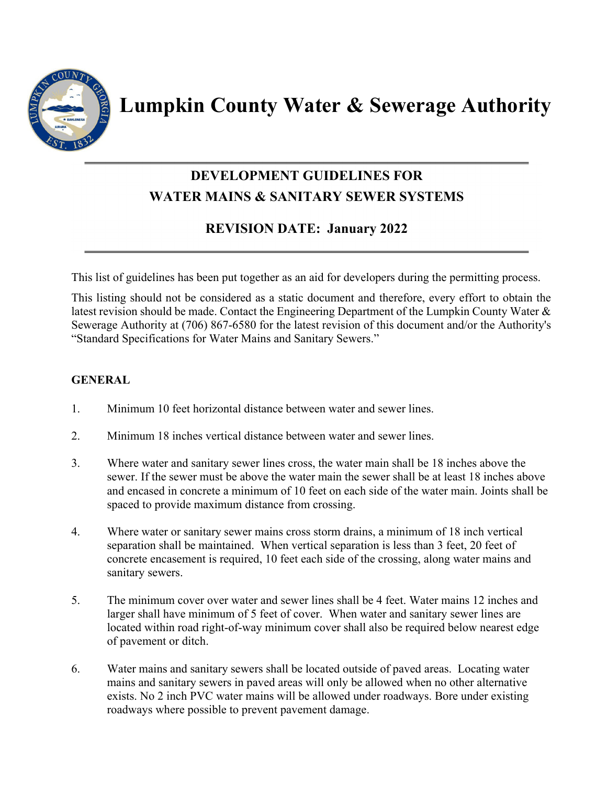

**Lumpkin County Water & Sewerage Authority** 

# **DEVELOPMENT GUIDELINES FOR WATER MAINS & SANITARY SEWER SYSTEMS**

## **REVISION DATE: January 2022**

This list of guidelines has been put together as an aid for developers during the permitting process.

This listing should not be considered as a static document and therefore, every effort to obtain the latest revision should be made. Contact the Engineering Department of the Lumpkin County Water & Sewerage Authority at (706) 867-6580 for the latest revision of this document and/or the Authority's "Standard Specifications for Water Mains and Sanitary Sewers."

## **GENERAL**

- 1. Minimum 10 feet horizontal distance between water and sewer lines.
- 2. Minimum 18 inches vertical distance between water and sewer lines.
- 3. Where water and sanitary sewer lines cross, the water main shall be 18 inches above the sewer. If the sewer must be above the water main the sewer shall be at least 18 inches above and encased in concrete a minimum of 10 feet on each side of the water main. Joints shall be spaced to provide maximum distance from crossing.
- 4. Where water or sanitary sewer mains cross storm drains, a minimum of 18 inch vertical separation shall be maintained. When vertical separation is less than 3 feet, 20 feet of concrete encasement is required, 10 feet each side of the crossing, along water mains and sanitary sewers.
- 5. The minimum cover over water and sewer lines shall be 4 feet. Water mains 12 inches and larger shall have minimum of 5 feet of cover. When water and sanitary sewer lines are located within road right-of-way minimum cover shall also be required below nearest edge of pavement or ditch.
- 6. Water mains and sanitary sewers shall be located outside of paved areas. Locating water mains and sanitary sewers in paved areas will only be allowed when no other alternative exists. No 2 inch PVC water mains will be allowed under roadways. Bore under existing roadways where possible to prevent pavement damage.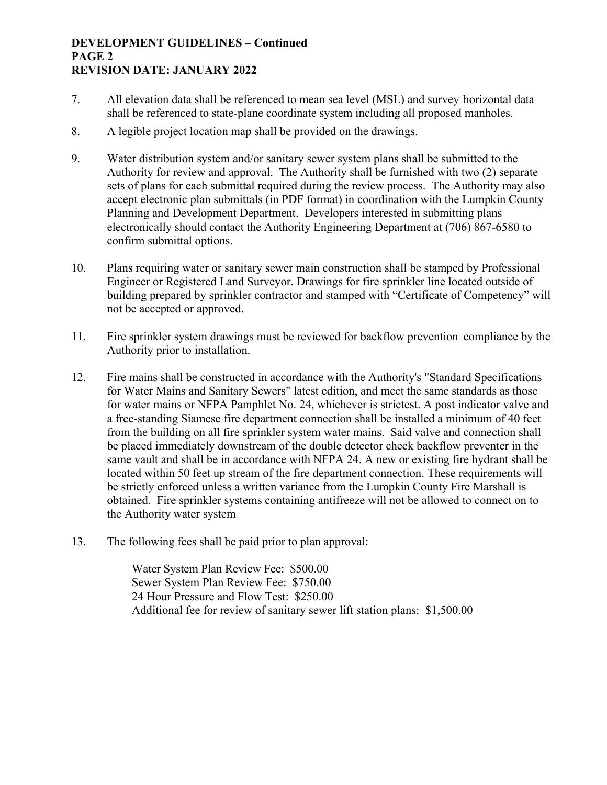#### **DEVELOPMENT GUIDELINES – Continued PAGE 2 REVISION DATE: JANUARY 2022**

- 7. All elevation data shall be referenced to mean sea level (MSL) and survey horizontal data shall be referenced to state-plane coordinate system including all proposed manholes.
- 8. A legible project location map shall be provided on the drawings.
- 9. Water distribution system and/or sanitary sewer system plans shall be submitted to the Authority for review and approval. The Authority shall be furnished with two (2) separate sets of plans for each submittal required during the review process. The Authority may also accept electronic plan submittals (in PDF format) in coordination with the Lumpkin County Planning and Development Department. Developers interested in submitting plans electronically should contact the Authority Engineering Department at (706) 867-6580 to confirm submittal options.
- 10. Plans requiring water or sanitary sewer main construction shall be stamped by Professional Engineer or Registered Land Surveyor. Drawings for fire sprinkler line located outside of building prepared by sprinkler contractor and stamped with "Certificate of Competency" will not be accepted or approved.
- 11. Fire sprinkler system drawings must be reviewed for backflow prevention compliance by the Authority prior to installation.
- 12. Fire mains shall be constructed in accordance with the Authority's "Standard Specifications for Water Mains and Sanitary Sewers" latest edition, and meet the same standards as those for water mains or NFPA Pamphlet No. 24, whichever is strictest. A post indicator valve and a free-standing Siamese fire department connection shall be installed a minimum of 40 feet from the building on all fire sprinkler system water mains. Said valve and connection shall be placed immediately downstream of the double detector check backflow preventer in the same vault and shall be in accordance with NFPA 24. A new or existing fire hydrant shall be located within 50 feet up stream of the fire department connection. These requirements will be strictly enforced unless a written variance from the Lumpkin County Fire Marshall is obtained. Fire sprinkler systems containing antifreeze will not be allowed to connect on to the Authority water system
- 13. The following fees shall be paid prior to plan approval:

 Water System Plan Review Fee: \$500.00 Sewer System Plan Review Fee: \$750.00 24 Hour Pressure and Flow Test: \$250.00 Additional fee for review of sanitary sewer lift station plans: \$1,500.00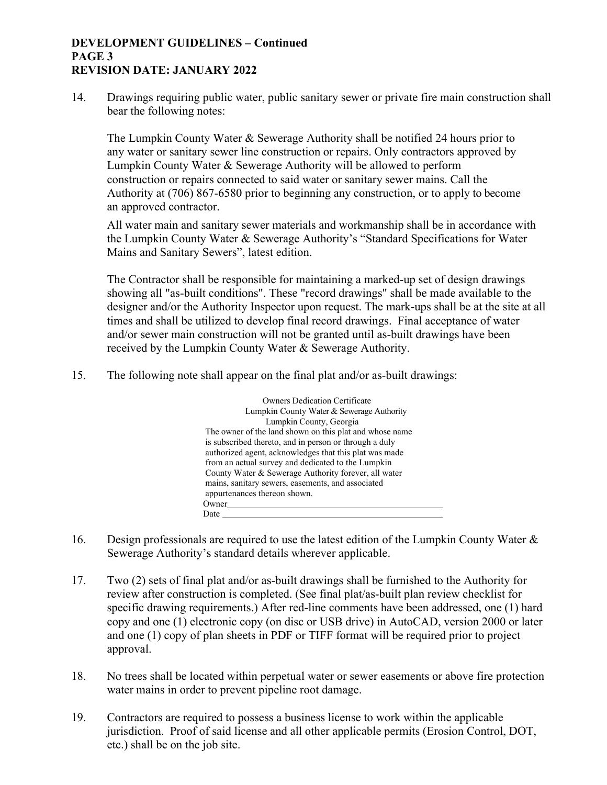#### **DEVELOPMENT GUIDELINES – Continued PAGE 3 REVISION DATE: JANUARY 2022**

14. Drawings requiring public water, public sanitary sewer or private fire main construction shall bear the following notes:

The Lumpkin County Water & Sewerage Authority shall be notified 24 hours prior to any water or sanitary sewer line construction or repairs. Only contractors approved by Lumpkin County Water & Sewerage Authority will be allowed to perform construction or repairs connected to said water or sanitary sewer mains. Call the Authority at (706) 867-6580 prior to beginning any construction, or to apply to become an approved contractor.

All water main and sanitary sewer materials and workmanship shall be in accordance with the Lumpkin County Water & Sewerage Authority's "Standard Specifications for Water Mains and Sanitary Sewers", latest edition.

The Contractor shall be responsible for maintaining a marked-up set of design drawings showing all "as-built conditions". These "record drawings" shall be made available to the designer and/or the Authority Inspector upon request. The mark-ups shall be at the site at all times and shall be utilized to develop final record drawings. Final acceptance of water and/or sewer main construction will not be granted until as-built drawings have been received by the Lumpkin County Water & Sewerage Authority.

15. The following note shall appear on the final plat and/or as-built drawings:

| <b>Owners Dedication Certificate</b><br>Lumpkin County Water & Sewerage Authority |
|-----------------------------------------------------------------------------------|
| Lumpkin County, Georgia                                                           |
| The owner of the land shown on this plat and whose name                           |
| is subscribed thereto, and in person or through a duly                            |
| authorized agent, acknowledges that this plat was made                            |
| from an actual survey and dedicated to the Lumpkin                                |
| County Water & Sewerage Authority forever, all water                              |
| mains, sanitary sewers, easements, and associated                                 |
| appurtenances thereon shown.                                                      |
| Owner                                                                             |
| Date                                                                              |

- 16. Design professionals are required to use the latest edition of the Lumpkin County Water & Sewerage Authority's standard details wherever applicable.
- 17. Two (2) sets of final plat and/or as-built drawings shall be furnished to the Authority for review after construction is completed. (See final plat/as-built plan review checklist for specific drawing requirements.) After red-line comments have been addressed, one (1) hard copy and one (1) electronic copy (on disc or USB drive) in AutoCAD, version 2000 or later and one (1) copy of plan sheets in PDF or TIFF format will be required prior to project approval.
- 18. No trees shall be located within perpetual water or sewer easements or above fire protection water mains in order to prevent pipeline root damage.
- 19. Contractors are required to possess a business license to work within the applicable jurisdiction. Proof of said license and all other applicable permits (Erosion Control, DOT, etc.) shall be on the job site.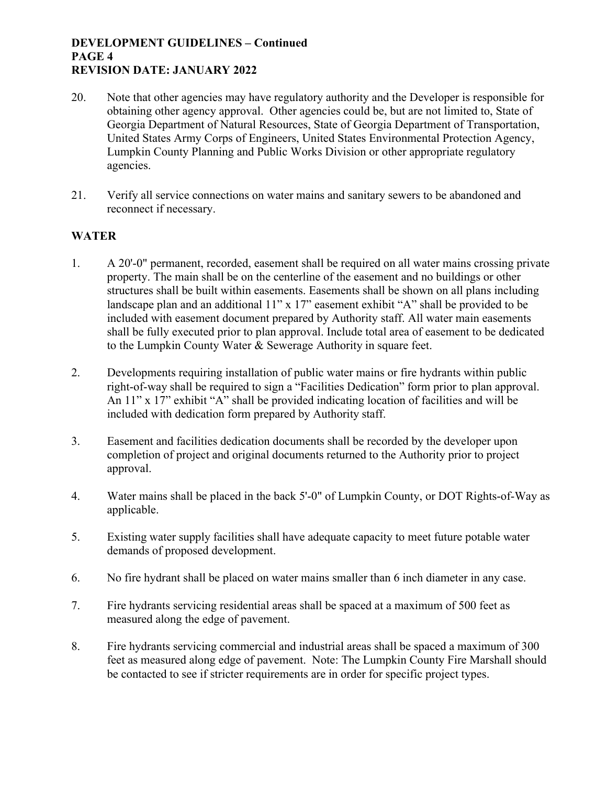#### **DEVELOPMENT GUIDELINES – Continued PAGE 4 REVISION DATE: JANUARY 2022**

- 20. Note that other agencies may have regulatory authority and the Developer is responsible for obtaining other agency approval. Other agencies could be, but are not limited to, State of Georgia Department of Natural Resources, State of Georgia Department of Transportation, United States Army Corps of Engineers, United States Environmental Protection Agency, Lumpkin County Planning and Public Works Division or other appropriate regulatory agencies.
- 21. Verify all service connections on water mains and sanitary sewers to be abandoned and reconnect if necessary.

## **WATER**

- 1. A 20'-0" permanent, recorded, easement shall be required on all water mains crossing private property. The main shall be on the centerline of the easement and no buildings or other structures shall be built within easements. Easements shall be shown on all plans including landscape plan and an additional 11" x 17" easement exhibit "A" shall be provided to be included with easement document prepared by Authority staff. All water main easements shall be fully executed prior to plan approval. Include total area of easement to be dedicated to the Lumpkin County Water & Sewerage Authority in square feet.
- 2. Developments requiring installation of public water mains or fire hydrants within public right-of-way shall be required to sign a "Facilities Dedication" form prior to plan approval. An 11" x 17" exhibit "A" shall be provided indicating location of facilities and will be included with dedication form prepared by Authority staff.
- 3. Easement and facilities dedication documents shall be recorded by the developer upon completion of project and original documents returned to the Authority prior to project approval.
- 4. Water mains shall be placed in the back 5'-0" of Lumpkin County, or DOT Rights-of-Way as applicable.
- 5. Existing water supply facilities shall have adequate capacity to meet future potable water demands of proposed development.
- 6. No fire hydrant shall be placed on water mains smaller than 6 inch diameter in any case.
- 7. Fire hydrants servicing residential areas shall be spaced at a maximum of 500 feet as measured along the edge of pavement.
- 8. Fire hydrants servicing commercial and industrial areas shall be spaced a maximum of 300 feet as measured along edge of pavement. Note: The Lumpkin County Fire Marshall should be contacted to see if stricter requirements are in order for specific project types.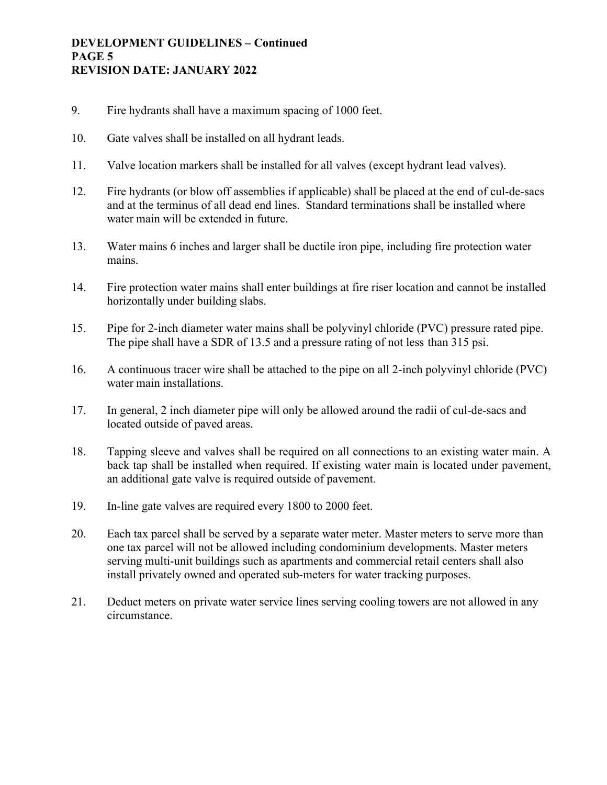#### **DEVELOPMENT GUIDELINES – Continued PAGE 5 REVISION DATE: JANUARY 2022**

- 9. Fire hydrants shall have a maximum spacing of 1000 feet.
- 10. Gate valves shall be installed on all hydrant leads.
- 11. Valve location markers shall be installed for all valves (except hydrant lead valves).
- 12. Fire hydrants (or blow off assemblies if applicable) shall be placed at the end of cul-de-sacs and at the terminus of all dead end lines. Standard terminations shall be installed where water main will be extended in future.
- 13. Water mains 6 inches and larger shall be ductile iron pipe, including fire protection water mains.
- 14. Fire protection water mains shall enter buildings at fire riser location and cannot be installed horizontally under building slabs.
- 15. Pipe for 2-inch diameter water mains shall be polyvinyl chloride (PVC) pressure rated pipe. The pipe shall have a SDR of 13.5 and a pressure rating of not less than 315 psi.
- 16. A continuous tracer wire shall be attached to the pipe on all 2-inch polyvinyl chloride (PVC) water main installations.
- 17. In general, 2 inch diameter pipe will only be allowed around the radii of cul-de-sacs and located outside of paved areas.
- 18. Tapping sleeve and valves shall be required on all connections to an existing water main. A back tap shall be installed when required. If existing water main is located under pavement, an additional gate valve is required outside of pavement.
- 19. In-line gate valves are required every 1800 to 2000 feet.
- 20. Each tax parcel shall be served by a separate water meter. Master meters to serve more than one tax parcel will not be allowed including condominium developments. Master meters serving multi-unit buildings such as apartments and commercial retail centers shall also install privately owned and operated sub-meters for water tracking purposes.
- 21. Deduct meters on private water service lines serving cooling towers are not allowed in any circumstance.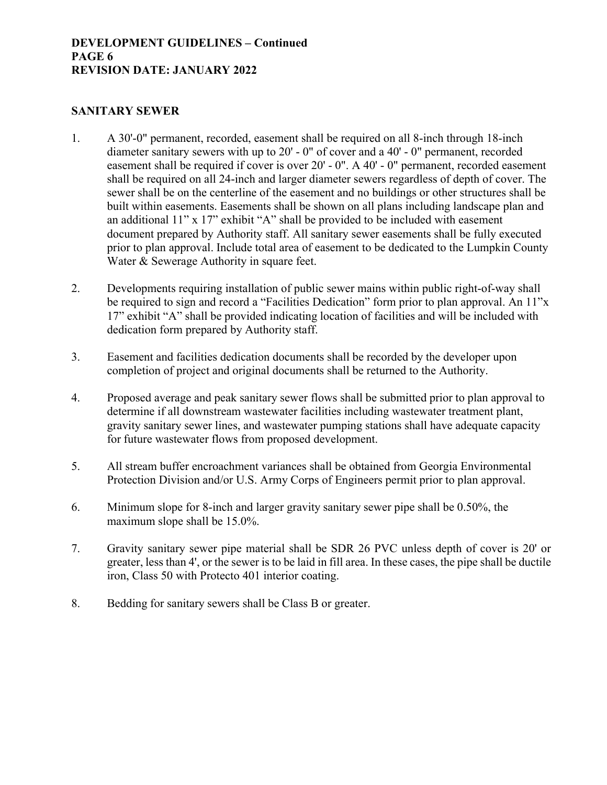#### **DEVELOPMENT GUIDELINES – Continued PAGE 6 REVISION DATE: JANUARY 2022**

### **SANITARY SEWER**

- 1. A 30'-0" permanent, recorded, easement shall be required on all 8-inch through 18-inch diameter sanitary sewers with up to 20' - 0" of cover and a 40' - 0" permanent, recorded easement shall be required if cover is over 20' - 0". A 40' - 0" permanent, recorded easement shall be required on all 24-inch and larger diameter sewers regardless of depth of cover. The sewer shall be on the centerline of the easement and no buildings or other structures shall be built within easements. Easements shall be shown on all plans including landscape plan and an additional 11" x 17" exhibit "A" shall be provided to be included with easement document prepared by Authority staff. All sanitary sewer easements shall be fully executed prior to plan approval. Include total area of easement to be dedicated to the Lumpkin County Water & Sewerage Authority in square feet.
- 2. Developments requiring installation of public sewer mains within public right-of-way shall be required to sign and record a "Facilities Dedication" form prior to plan approval. An 11"x 17" exhibit "A" shall be provided indicating location of facilities and will be included with dedication form prepared by Authority staff.
- 3. Easement and facilities dedication documents shall be recorded by the developer upon completion of project and original documents shall be returned to the Authority.
- 4. Proposed average and peak sanitary sewer flows shall be submitted prior to plan approval to determine if all downstream wastewater facilities including wastewater treatment plant, gravity sanitary sewer lines, and wastewater pumping stations shall have adequate capacity for future wastewater flows from proposed development.
- 5. All stream buffer encroachment variances shall be obtained from Georgia Environmental Protection Division and/or U.S. Army Corps of Engineers permit prior to plan approval.
- 6. Minimum slope for 8-inch and larger gravity sanitary sewer pipe shall be 0.50%, the maximum slope shall be 15.0%.
- 7. Gravity sanitary sewer pipe material shall be SDR 26 PVC unless depth of cover is 20' or greater, less than 4', or the sewer is to be laid in fill area. In these cases, the pipe shall be ductile iron, Class 50 with Protecto 401 interior coating.
- 8. Bedding for sanitary sewers shall be Class B or greater.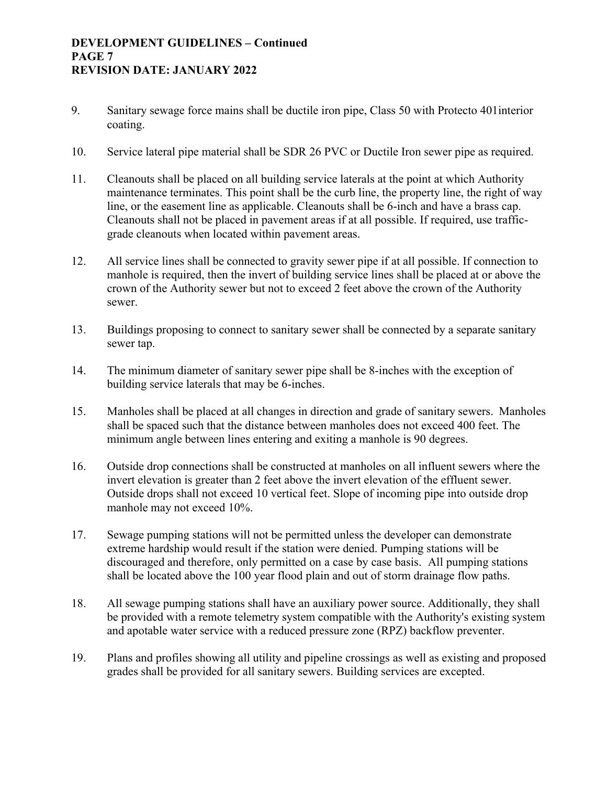#### **DEVELOPMENT GUIDELINES – Continued PAGE 7 REVISION DATE: JANUARY 2022**

- 9. Sanitary sewage force mains shall be ductile iron pipe, Class 50 with Protecto 401 interior coating.
- 10. Service lateral pipe material shall be SDR 26 PVC or Ductile Iron sewer pipe as required.
- 11. Cleanouts shall be placed on all building service laterals at the point at which Authority maintenance terminates. This point shall be the curb line, the property line, the right of way line, or the easement line as applicable. Cleanouts shall be 6-inch and have a brass cap. Cleanouts shall not be placed in pavement areas if at all possible. If required, use trafficgrade cleanouts when located within pavement areas.
- 12. All service lines shall be connected to gravity sewer pipe if at all possible. If connection to manhole is required, then the invert of building service lines shall be placed at or above the crown of the Authority sewer but not to exceed 2 feet above the crown of the Authority sewer.
- 13. Buildings proposing to connect to sanitary sewer shall be connected by a separate sanitary sewer tap.
- 14. The minimum diameter of sanitary sewer pipe shall be 8-inches with the exception of building service laterals that may be 6-inches.
- 15. Manholes shall be placed at all changes in direction and grade of sanitary sewers. Manholes shall be spaced such that the distance between manholes does not exceed 400 feet. The minimum angle between lines entering and exiting a manhole is 90 degrees.
- 16. Outside drop connections shall be constructed at manholes on all influent sewers where the invert elevation is greater than 2 feet above the invert elevation of the effluent sewer. Outside drops shall not exceed 10 vertical feet. Slope of incoming pipe into outside drop manhole may not exceed 10%.
- 17. Sewage pumping stations will not be permitted unless the developer can demonstrate extreme hardship would result if the station were denied. Pumping stations will be discouraged and therefore, only permitted on a case by case basis. All pumping stations shall be located above the 100 year flood plain and out of storm drainage flow paths.
- 18. All sewage pumping stations shall have an auxiliary power source. Additionally, they shall be provided with a remote telemetry system compatible with the Authority's existing system and apotable water service with a reduced pressure zone (RPZ) backflow preventer.
- 19. Plans and profiles showing all utility and pipeline crossings as well as existing and proposed grades shall be provided for all sanitary sewers. Building services are excepted.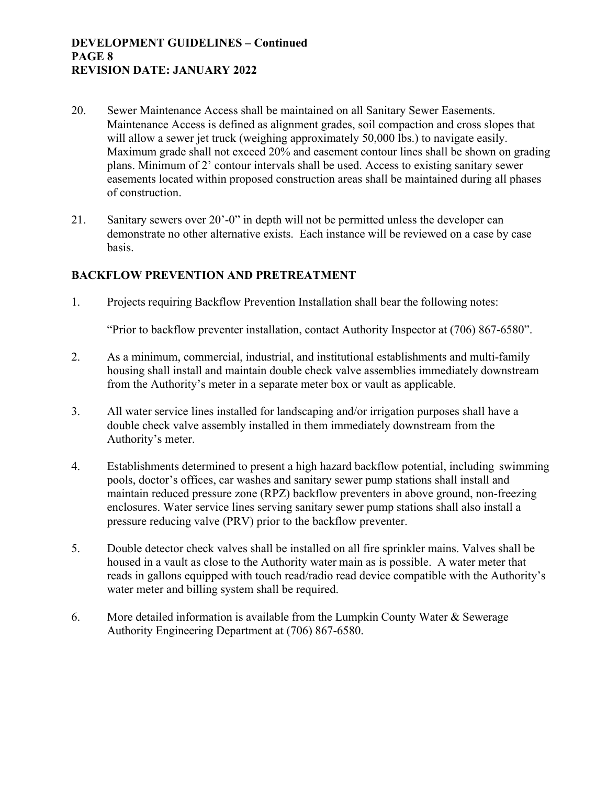#### **DEVELOPMENT GUIDELINES – Continued PAGE 8 REVISION DATE: JANUARY 2022**

- 20. Sewer Maintenance Access shall be maintained on all Sanitary Sewer Easements. Maintenance Access is defined as alignment grades, soil compaction and cross slopes that will allow a sewer jet truck (weighing approximately 50,000 lbs.) to navigate easily. Maximum grade shall not exceed 20% and easement contour lines shall be shown on grading plans. Minimum of 2' contour intervals shall be used. Access to existing sanitary sewer easements located within proposed construction areas shall be maintained during all phases of construction.
- 21. Sanitary sewers over 20'-0" in depth will not be permitted unless the developer can demonstrate no other alternative exists. Each instance will be reviewed on a case by case basis.

## **BACKFLOW PREVENTION AND PRETREATMENT**

1. Projects requiring Backflow Prevention Installation shall bear the following notes:

"Prior to backflow preventer installation, contact Authority Inspector at (706) 867-6580".

- 2. As a minimum, commercial, industrial, and institutional establishments and multi-family housing shall install and maintain double check valve assemblies immediately downstream from the Authority's meter in a separate meter box or vault as applicable.
- 3. All water service lines installed for landscaping and/or irrigation purposes shall have a double check valve assembly installed in them immediately downstream from the Authority's meter.
- 4. Establishments determined to present a high hazard backflow potential, including swimming pools, doctor's offices, car washes and sanitary sewer pump stations shall install and maintain reduced pressure zone (RPZ) backflow preventers in above ground, non-freezing enclosures. Water service lines serving sanitary sewer pump stations shall also install a pressure reducing valve (PRV) prior to the backflow preventer.
- 5. Double detector check valves shall be installed on all fire sprinkler mains. Valves shall be housed in a vault as close to the Authority water main as is possible. A water meter that reads in gallons equipped with touch read/radio read device compatible with the Authority's water meter and billing system shall be required.
- 6. More detailed information is available from the Lumpkin County Water & Sewerage Authority Engineering Department at (706) 867-6580.